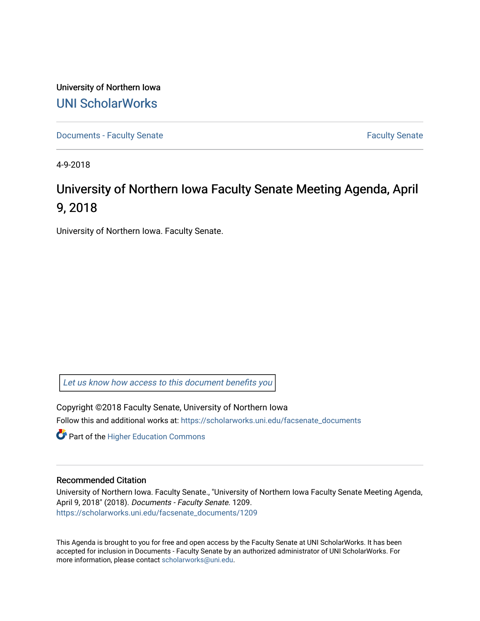University of Northern Iowa [UNI ScholarWorks](https://scholarworks.uni.edu/) 

[Documents - Faculty Senate](https://scholarworks.uni.edu/facsenate_documents) [Faculty Senate](https://scholarworks.uni.edu/facsenate) Faculty Senate

4-9-2018

# University of Northern Iowa Faculty Senate Meeting Agenda, April 9, 2018

University of Northern Iowa. Faculty Senate.

[Let us know how access to this document benefits you](https://scholarworks.uni.edu/feedback_form.html) 

Copyright ©2018 Faculty Senate, University of Northern Iowa Follow this and additional works at: [https://scholarworks.uni.edu/facsenate\\_documents](https://scholarworks.uni.edu/facsenate_documents?utm_source=scholarworks.uni.edu%2Ffacsenate_documents%2F1209&utm_medium=PDF&utm_campaign=PDFCoverPages) 

**Part of the Higher Education Commons** 

#### Recommended Citation

University of Northern Iowa. Faculty Senate., "University of Northern Iowa Faculty Senate Meeting Agenda, April 9, 2018" (2018). Documents - Faculty Senate. 1209. [https://scholarworks.uni.edu/facsenate\\_documents/1209](https://scholarworks.uni.edu/facsenate_documents/1209?utm_source=scholarworks.uni.edu%2Ffacsenate_documents%2F1209&utm_medium=PDF&utm_campaign=PDFCoverPages) 

This Agenda is brought to you for free and open access by the Faculty Senate at UNI ScholarWorks. It has been accepted for inclusion in Documents - Faculty Senate by an authorized administrator of UNI ScholarWorks. For more information, please contact [scholarworks@uni.edu.](mailto:scholarworks@uni.edu)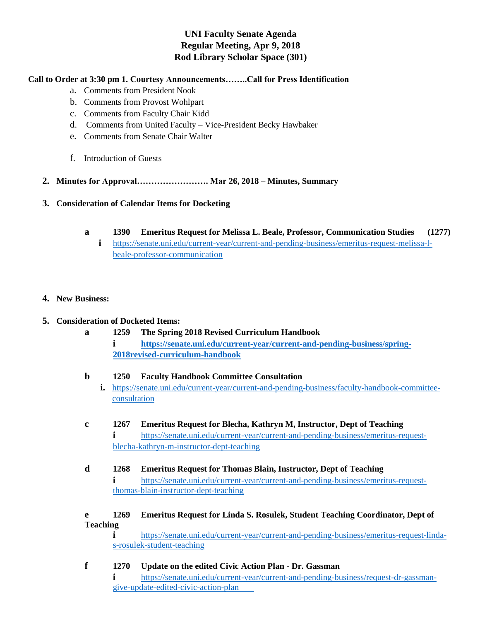## **UNI Faculty Senate Agenda Regular Meeting, Apr 9, 2018 Rod Library Scholar Space (301)**

### **Call to Order at 3:30 pm 1. Courtesy Announcements……..Call for Press Identification**

- a. Comments from President Nook
- b. Comments from Provost Wohlpart
- c. Comments from Faculty Chair Kidd
- d. Comments from United Faculty Vice-President Becky Hawbaker
- e. Comments from Senate Chair Walter
- f. Introduction of Guests
- **2. Minutes for Approval……………………. Mar 26, 2018 – Minutes, Summary**
- **3. Consideration of Calendar Items for Docketing** 
	- **a 1390 Emeritus Request for Melissa L. Beale, Professor, Communication Studies (1277)**
		- **i** [https://senate.uni.edu/current-year/current-and-pending-business/emeritus-request-melissa-l](https://senate.uni.edu/current-year/current-and-pending-business/emeritus-request-melissa-l-beale-professor-communication)[beale-professor-communication](https://senate.uni.edu/current-year/current-and-pending-business/emeritus-request-melissa-l-beale-professor-communication)

#### **4. New Business:**

#### **5. Consideration of Docketed Items:**

**a 1259 The Spring 2018 Revised Curriculum Handbook i https://senate.uni.edu/current-year/current-and-pending-business/spring-2018revised-curriculum-handbook**

#### **b 1250 Faculty Handbook Committee Consultation**

- **i.** https://senate.uni.edu/current-year/current-and-pending-business/faculty-handbook-committeeconsultation
- **c 1267 Emeritus Request for Blecha, Kathryn M, Instructor, Dept of Teaching i** [https://senate.uni.edu/current-year/current-and-pending-business/emeritus-request](https://senate.uni.edu/current-year/current-and-pending-business/emeritus-request-blecha-kathryn-m-instructor-dept-teaching)[blecha-kathryn-m-instructor-dept-teaching](https://senate.uni.edu/current-year/current-and-pending-business/emeritus-request-blecha-kathryn-m-instructor-dept-teaching)
- **d 1268 Emeritus Request for Thomas Blain, Instructor, Dept of Teaching i** [https://senate.uni.edu/current-year/current-and-pending-business/emeritus-request](https://senate.uni.edu/current-year/current-and-pending-business/emeritus-request-thomas-blain-instructor-dept-teaching)[thomas-blain-instructor-dept-teaching](https://senate.uni.edu/current-year/current-and-pending-business/emeritus-request-thomas-blain-instructor-dept-teaching)

#### **e 1269 Emeritus Request for Linda S. Rosulek, Student Teaching Coordinator, Dept of Teaching**

**i** [https://senate.uni.edu/current-year/current-and-pending-business/emeritus-request-linda](ttps://senate.uni.edu/current-year/current-and-pending-business/emeritus-request-linda-s-)[s-r](ttps://senate.uni.edu/current-year/current-and-pending-business/emeritus-request-linda-s-)osulek-student-teaching

**f 1270 Update on the edited Civic Action Plan - Dr. Gassman i** https://senate.uni.edu/current-year/current-and-pending-business/request-dr-gassmangive-update-edited-civic-action-plan